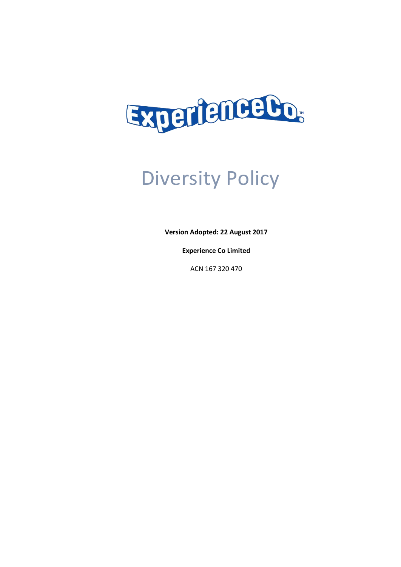

# Diversity Policy

**Version Adopted: 22 August 2017**

**Experience Co Limited**

ACN 167 320 470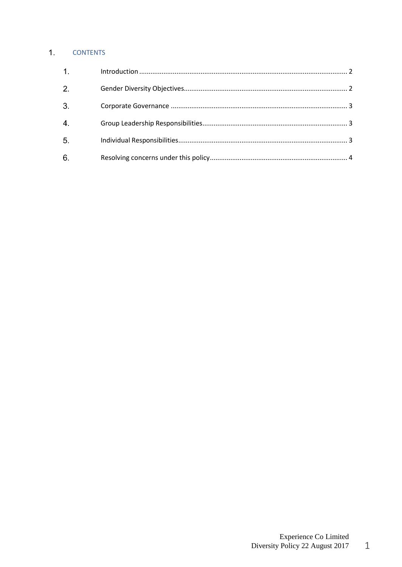# 1. CONTENTS

| $\overline{1}$ . |  |
|------------------|--|
| 2.               |  |
| 3.               |  |
| $\overline{4}$   |  |
| 5.               |  |
| 6.               |  |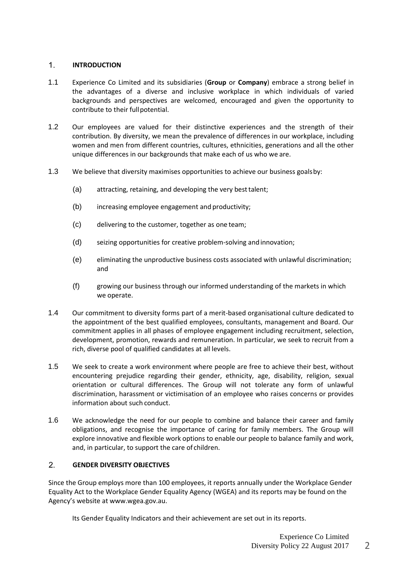## <span id="page-2-0"></span>**INTRODUCTION**

- 1.1 Experience Co Limited and its subsidiaries (**Group** or **Company**) embrace a strong belief in the advantages of a diverse and inclusive workplace in which individuals of varied backgrounds and perspectives are welcomed, encouraged and given the opportunity to contribute to their fullpotential.
- 1.2 Our employees are valued for their distinctive experiences and the strength of their contribution. By diversity, we mean the prevalence of differences in our workplace, including women and men from different countries, cultures, ethnicities, generations and all the other unique differences in our backgrounds that make each of us who we are.
- 1.3 We believe that diversity maximises opportunities to achieve our business goalsby:
	- (a) attracting, retaining, and developing the very besttalent;
	- (b) increasing employee engagement and productivity;
	- (c) delivering to the customer, together as one team;
	- (d) seizing opportunities for creative problem-solving andinnovation;
	- (e) eliminating the unproductive business costs associated with unlawful discrimination; and
	- (f) growing our business through our informed understanding of the markets in which we operate.
- 1.4 Our commitment to diversity forms part of a merit-based organisational culture dedicated to the appointment of the best qualified employees, consultants, management and Board. Our commitment applies in all phases of employee engagement including recruitment, selection, development, promotion, rewards and remuneration. In particular, we seek to recruit from a rich, diverse pool of qualified candidates at all levels.
- 1.5 We seek to create a work environment where people are free to achieve their best, without encountering prejudice regarding their gender, ethnicity, age, disability, religion, sexual orientation or cultural differences. The Group will not tolerate any form of unlawful discrimination, harassment or victimisation of an employee who raises concerns or provides information about such conduct.
- 1.6 We acknowledge the need for our people to combine and balance their career and family obligations, and recognise the importance of caring for family members. The Group will explore innovative and flexible work options to enable our people to balance family and work, and, in particular, to support the care of children.

# <span id="page-2-1"></span>**GENDER DIVERSITY OBJECTIVES**

Since the Group employs more than 100 employees, it reports annually under the Workplace Gender Equality Act to the Workplace Gender Equality Agency (WGEA) and its reports may be found on the Agency's website at [www.wgea.gov.au.](http://www.wgea.gov.au/)

Its Gender Equality Indicators and their achievement are set out in its reports.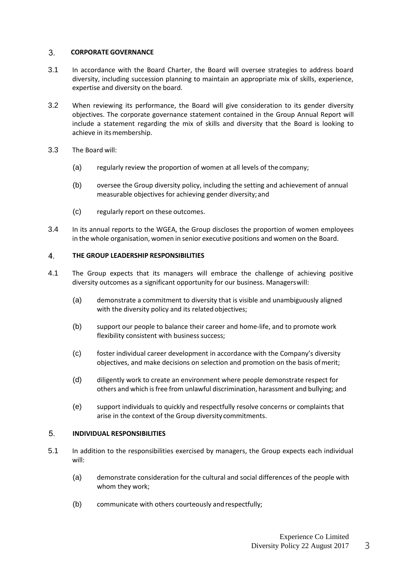#### <span id="page-3-0"></span>**CORPORATE GOVERNANCE**

- 3.1 In accordance with the Board Charter, the Board will oversee strategies to address board diversity, including succession planning to maintain an appropriate mix of skills, experience, expertise and diversity on the board.
- 3.2 When reviewing its performance, the Board will give consideration to its gender diversity objectives. The corporate governance statement contained in the Group Annual Report will include a statement regarding the mix of skills and diversity that the Board is looking to achieve in its membership.
- 3.3 The Board will:
	- (a) regularly review the proportion of women at all levels of the company;
	- (b) oversee the Group diversity policy, including the setting and achievement of annual measurable objectives for achieving gender diversity; and
	- (c) regularly report on these outcomes.
- 3.4 In its annual reports to the WGEA, the Group discloses the proportion of women employees in the whole organisation, women in senior executive positions and women on the Board.

#### <span id="page-3-1"></span>**THE GROUP LEADERSHIP RESPONSIBILITIES**

- 4.1 The Group expects that its managers will embrace the challenge of achieving positive diversity outcomes as a significant opportunity for our business. Managerswill:
	- (a) demonstrate a commitment to diversity that is visible and unambiguously aligned with the diversity policy and its related objectives;
	- (b) support our people to balance their career and home-life, and to promote work flexibility consistent with business success;
	- (c) foster individual career development in accordance with the Company's diversity objectives, and make decisions on selection and promotion on the basis ofmerit;
	- (d) diligently work to create an environment where people demonstrate respect for others and which isfree from unlawful discrimination, harassment and bullying; and
	- (e) support individuals to quickly and respectfully resolve concerns or complaints that arise in the context of the Group diversity commitments.

#### <span id="page-3-2"></span>**INDIVIDUAL RESPONSIBILITIES**

- 5.1 In addition to the responsibilities exercised by managers, the Group expects each individual will:
	- (a) demonstrate consideration for the cultural and social differences of the people with whom they work;
	- (b) communicate with others courteously andrespectfully;